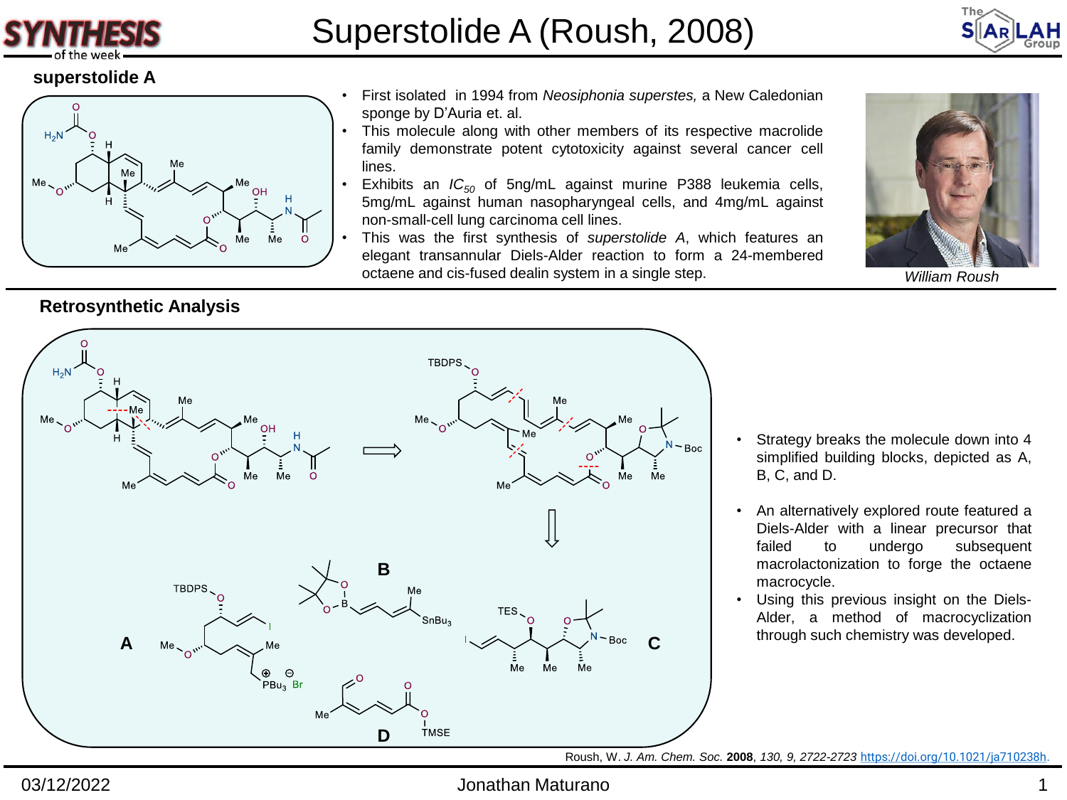



### **superstolide A**



### • First isolated in 1994 from *Neosiphonia superstes,* a New Caledonian sponge by D'Auria et. al.

- This molecule along with other members of its respective macrolide family demonstrate potent cytotoxicity against several cancer cell lines.
- Exhibits an *IC<sup>50</sup>* of 5ng/mL against murine P388 leukemia cells, 5mg/mL against human nasopharyngeal cells, and 4mg/mL against non-small-cell lung carcinoma cell lines.
- This was the first synthesis of *superstolide A*, which features an elegant transannular Diels-Alder reaction to form a 24-membered octaene and cis-fused dealin system in a single step.



*William Roush*

## **Retrosynthetic Analysis**



- Strategy breaks the molecule down into 4 simplified building blocks, depicted as A, B, C, and D.
- An alternatively explored route featured a Diels-Alder with a linear precursor that failed to undergo subsequent macrolactonization to forge the octaene macrocycle.
- Using this previous insight on the Diels-Alder, a method of macrocyclization

Roush, W. *J. Am. Chem. Soc.* **2008**, *130, 9, 2722-2723* <https://doi.org/10.1021/ja710238h>.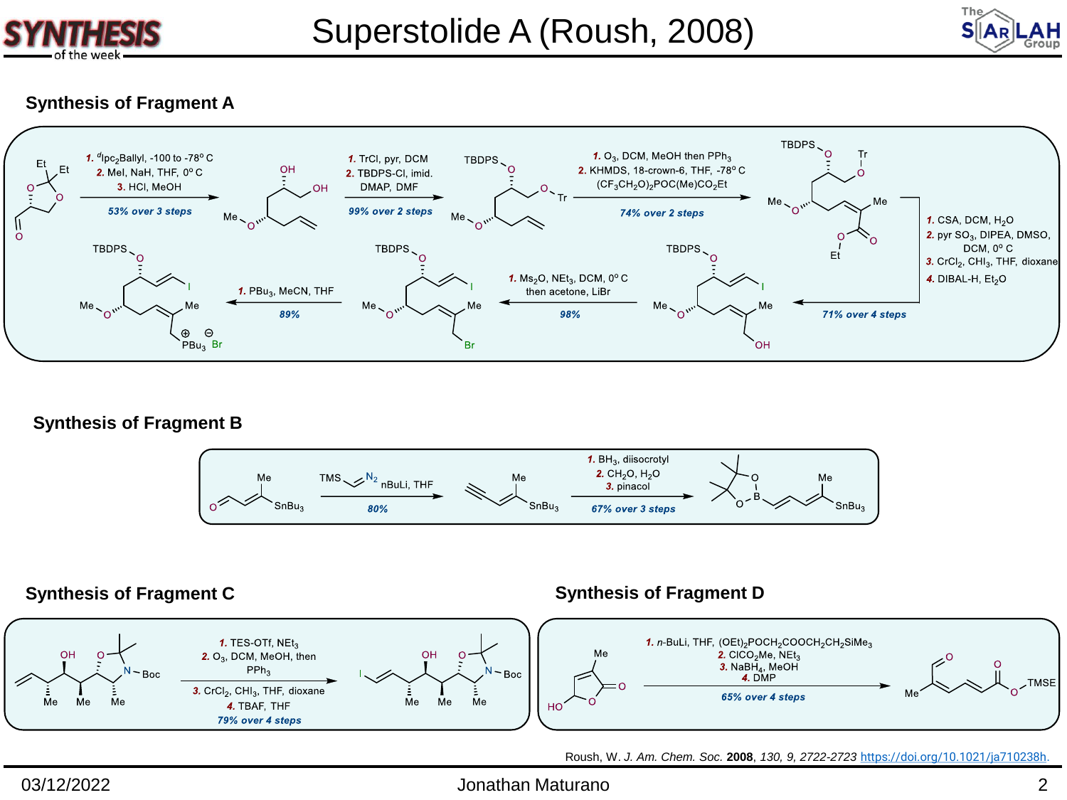



### **Synthesis of Fragment A**



**Synthesis of Fragment B**



### **Synthesis of Fragment C Synthesis of Fragment D**

### 1. TES-OTf, NEt<sub>3</sub> 1. n-BuLi, THF, (OEt)<sub>2</sub>POCH<sub>2</sub>COOCH<sub>2</sub>CH<sub>2</sub>SiMe<sub>3</sub> Me 2. CICO<sub>2</sub>Me, NEt<sub>3</sub> nн  $2. O_3$ , DCM, MeOH, then **3.** NaBH<sub>4</sub>, MeOH  $PPh<sub>3</sub>$ Boc Boc **TMSE** 3. CrCl<sub>2</sub>, CHI<sub>3</sub>, THF, dioxane 65% over 4 steps Me Me Me Me Me Me 4. TBAF, THF HO<sup>1</sup> 79% over 4 steps

Roush, W. *J. Am. Chem. Soc.* **2008**, *130, 9, 2722-2723* <https://doi.org/10.1021/ja710238h>.

### 03/12/2022 Jonathan Maturano 2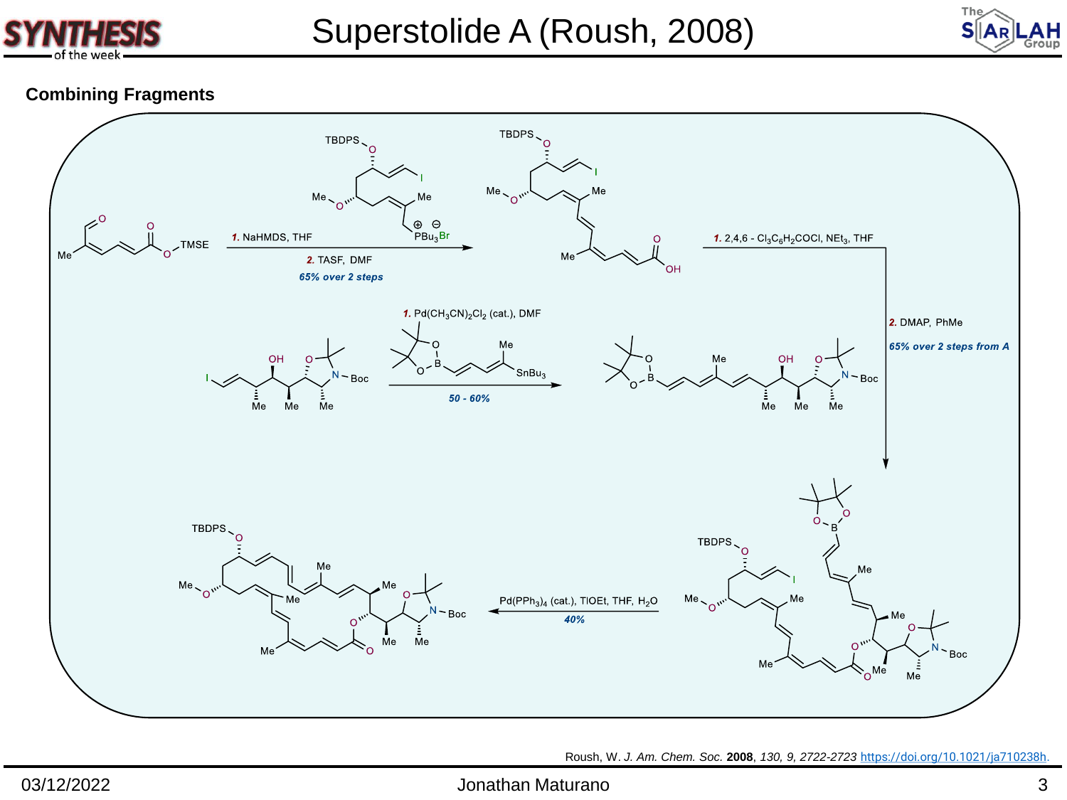



# **Combining Fragments**



Roush, W. *J. Am. Chem. Soc.* **2008**, *130, 9, 2722-2723* <https://doi.org/10.1021/ja710238h>.